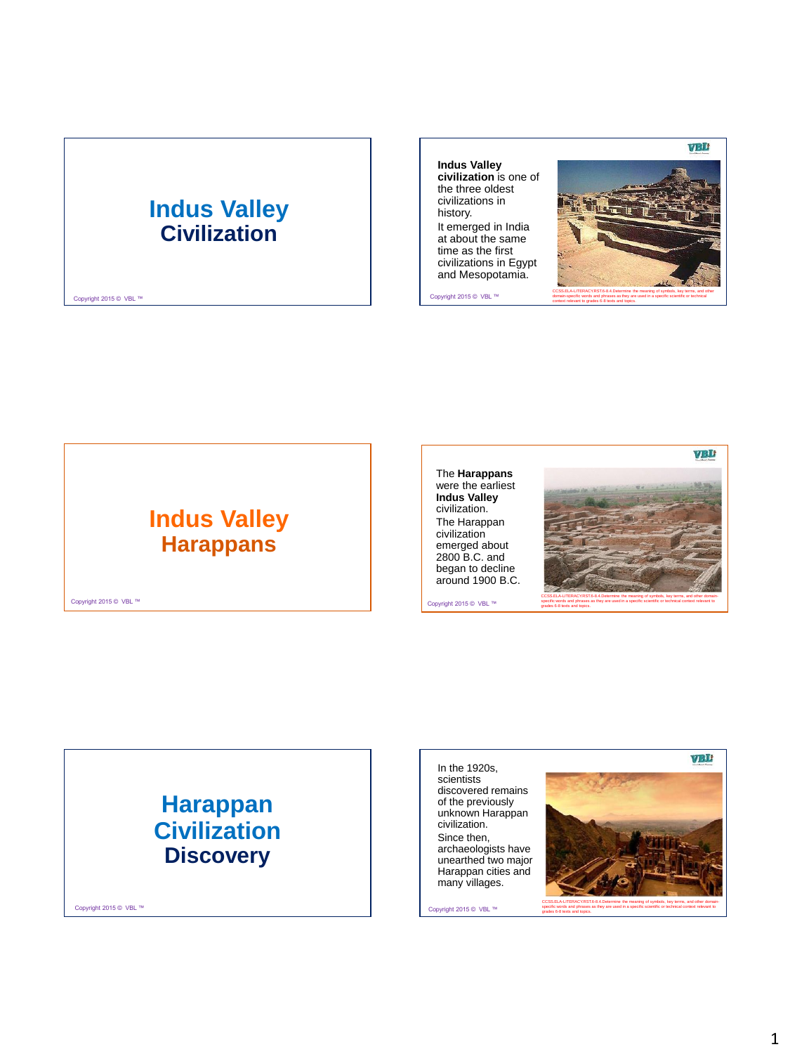### **Indus Valley Civilization**

Copyright 2015 © VBL ™

**Indus Valley civilization** is one of the three oldest civilizations in history. It emerged in India at about the same time as the first civilizations in Egypt and Mesopotamia.



Copyright 2015 © VBL ™



Copyright 2015 © VBL ™

The **Harappans**  were the earliest **Indus Valley**  civilization. The Harappan civilization emerged about 2800 B.C. and began to decline around 1900 B.C. Copyright 2015 © VBL ™







1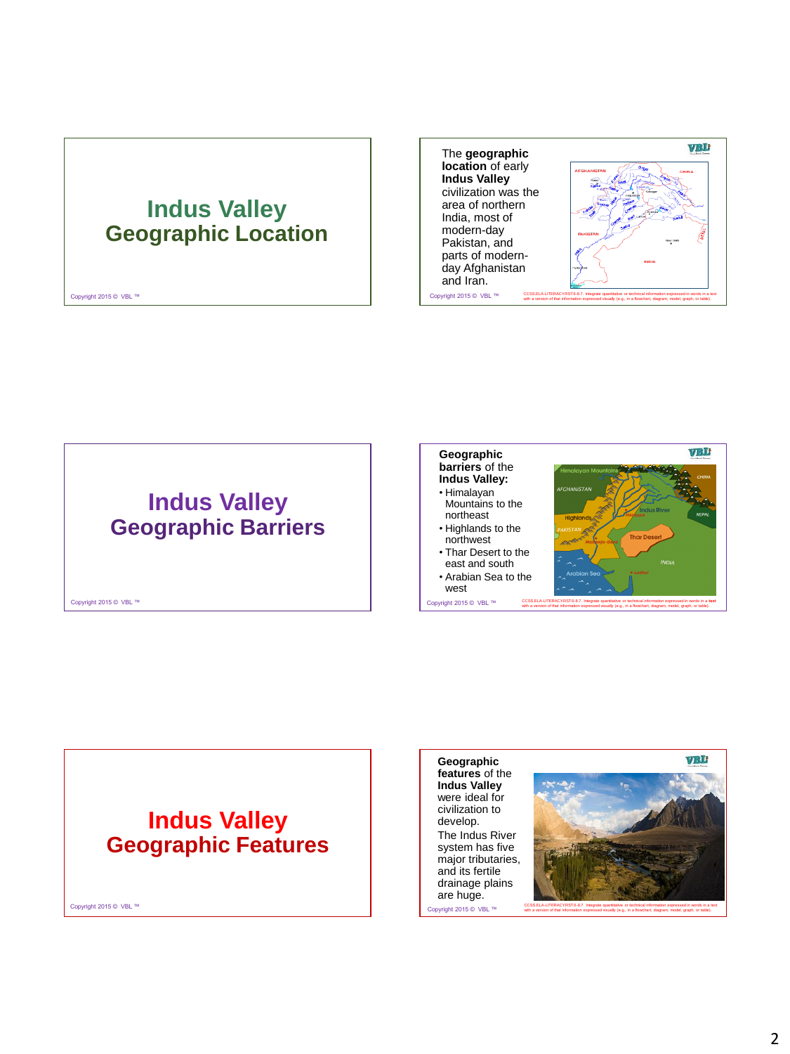### **Indus Valley Geographic Location**

Copyright 2015 © VBL ™



# **Indus Valley Geographic Barriers**

Copyright 2015 © VBL ™





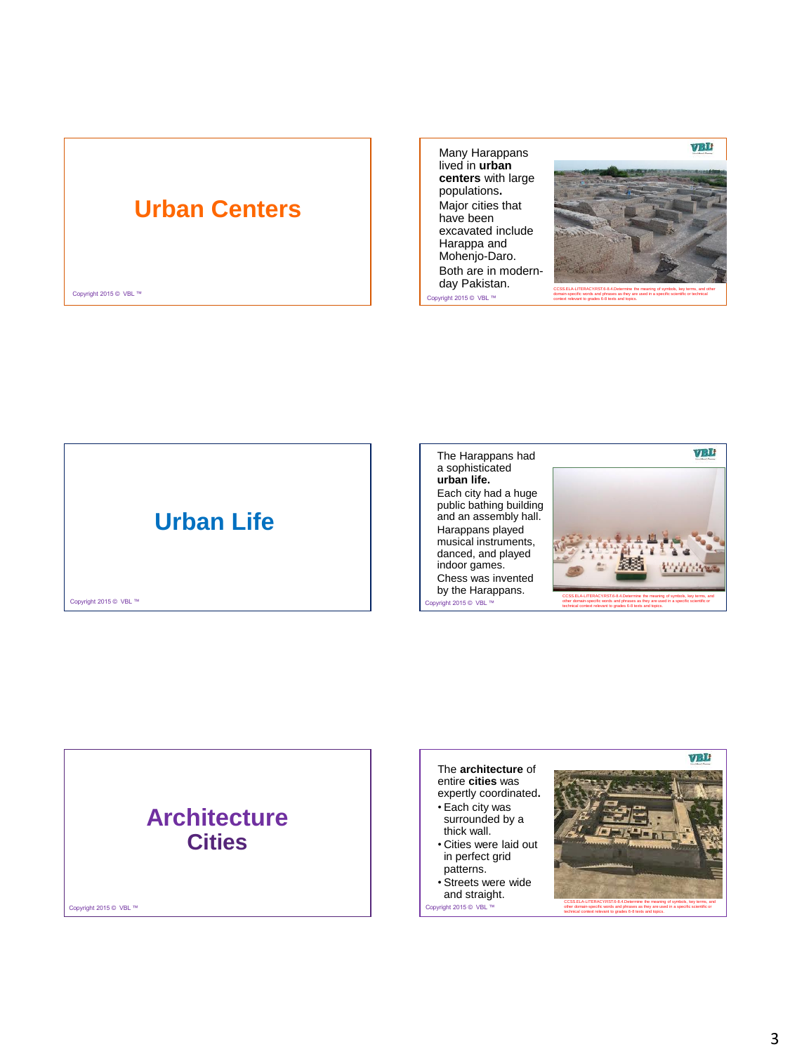## **Urban Centers**

Copyright 2015 © VBL ™

Many Harappans lived in **urban centers** with large populations**.** Major cities that have been excavated include Harappa and Mohenjo-Daro. Both are in modern-Eumenten<br>day Pakistan. Copyright 2015 © VBL ™





The Harappans had a sophisticated **urban life.** Each city had a huge public bathing building and an assembly hall. Harappans played musical instruments, danced, and played indoor games. Chess was invented by the Harappans. pyright 2015 © VBL ™





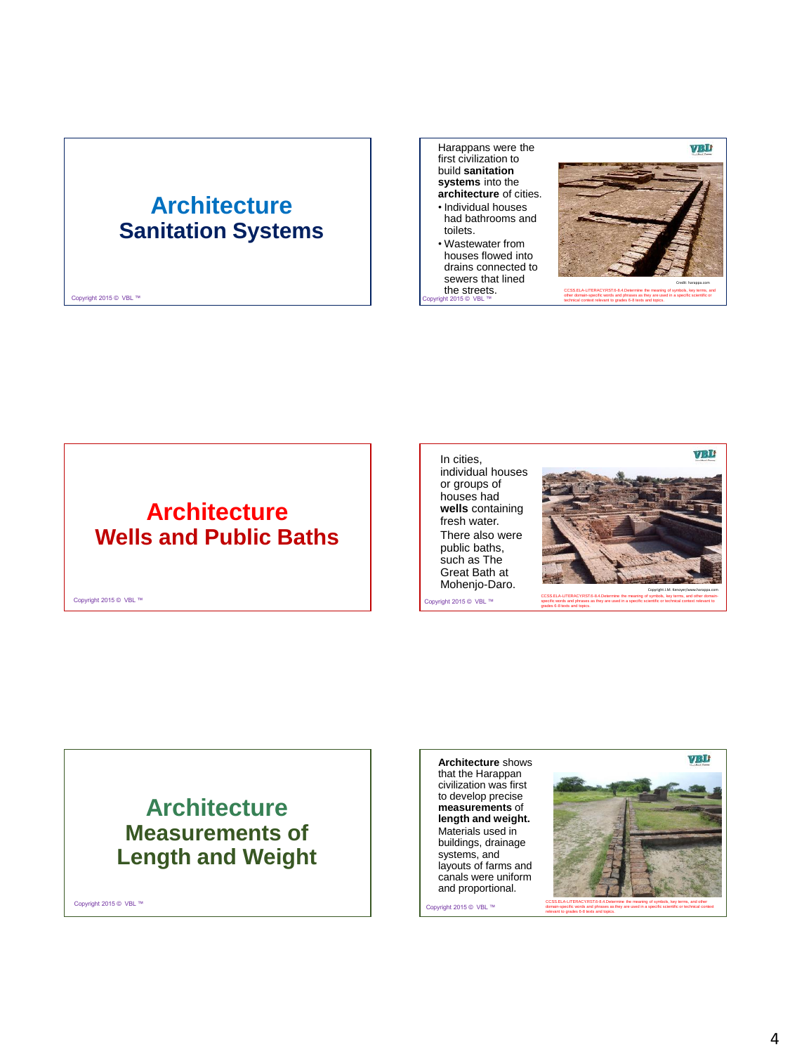### **Architecture Sanitation Systems**

Copyright 2015 © VBL ™

Harappans were the first civilization to build **sanitation systems** into the **architecture** of cities. • Individual houses

had bathrooms and toilets. • Wastewater from houses flowed into drains connected to

sewers that lined the streets.

Copyright 2015 © VBL ™



**Architecture Wells and Public Baths**

Copyright 2015 © VBL ™

In cities, individual houses or groups of houses had **wells** containing fresh water. There also were public baths, such as The Great Bath at Mohenjo-Daro. Copyright 2015 © VBL ™



CCSS.ELA-LITERACY.RST.6-8.4.Determine the meaning of symbols, key terms, and other domainspecific words and phrases as they are used in a specific scientific or technical context relevant to grades 6-8 texts and topics. Copyright J.M. Kenoyer/www.harappa.com



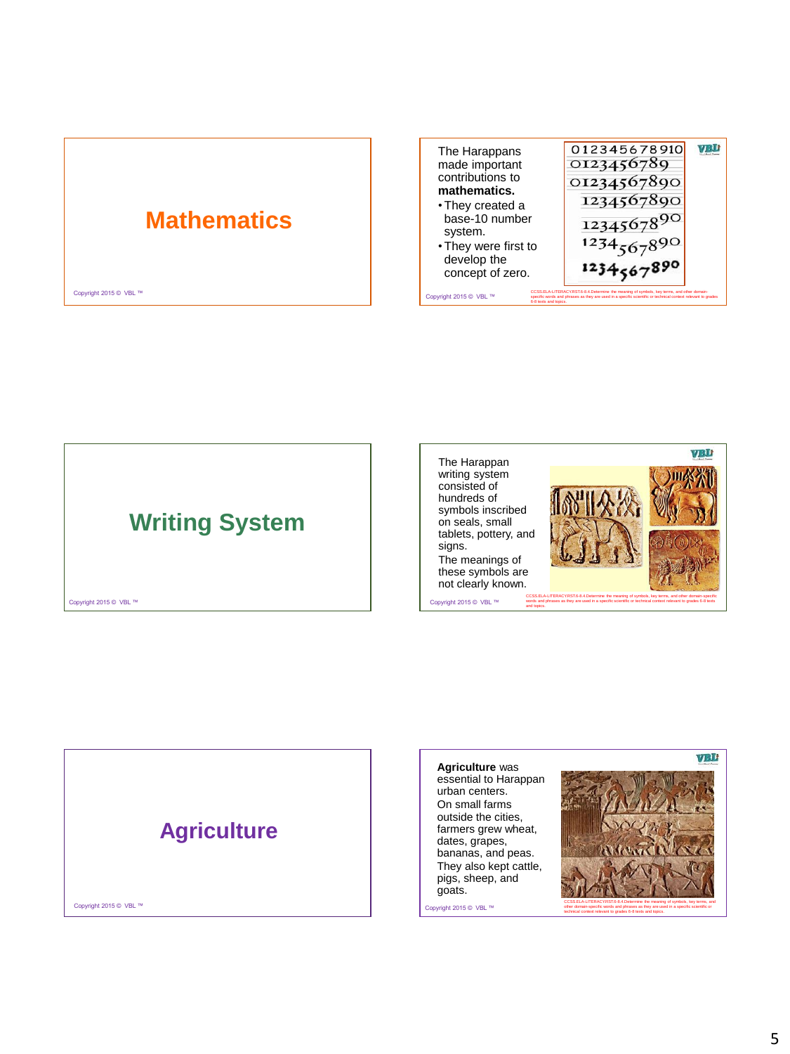

| The Harappans<br>made important<br>contributions to<br>mathematics.<br>• They created a<br>base-10 number<br>system.<br>• They were first to<br>develop the<br>concept of zero.                                                                               | 012345678910<br>0123456789<br>01234567890<br>1234567890<br>123456<br>$1234_5$<br>4<67 |
|---------------------------------------------------------------------------------------------------------------------------------------------------------------------------------------------------------------------------------------------------------------|---------------------------------------------------------------------------------------|
| CCSS.ELA-LITERACY.RST.6-8.4.Determine the meaning of symbols, key terms, and other domain-<br>Copyright 2015 © VBL ™<br>specific words and phrases as they are used in a specific scientific or technical context relevant to grades<br>6-8 texts and topics. |                                                                                       |







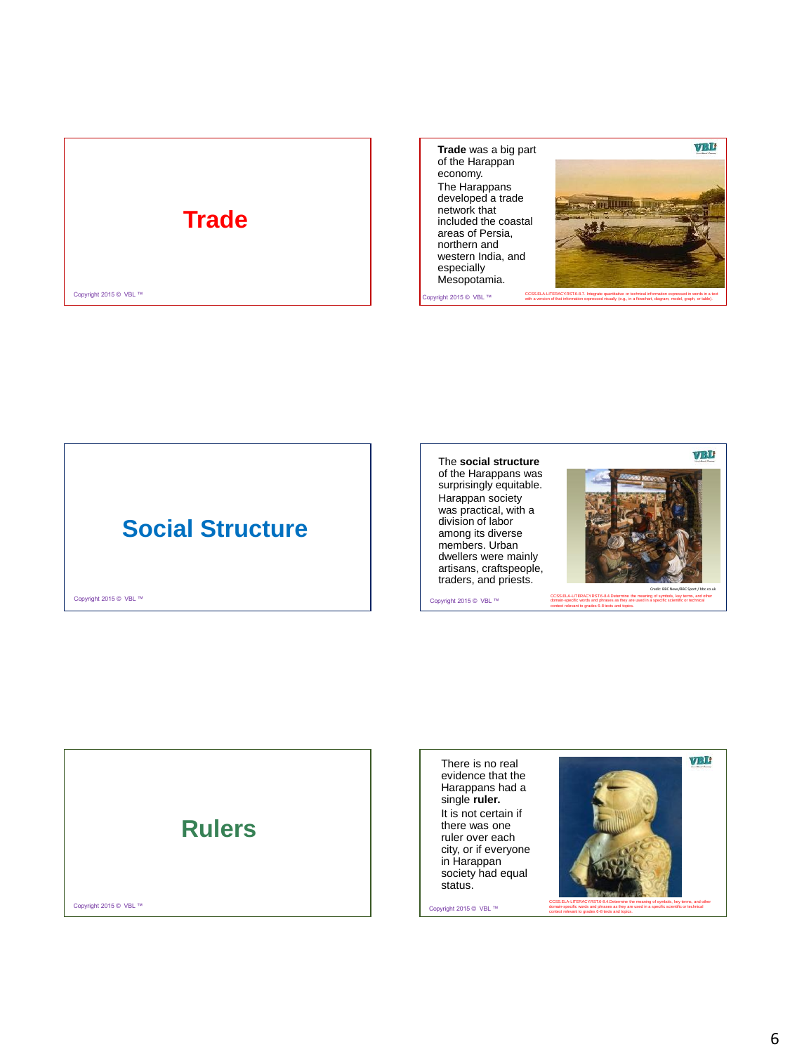

VED **Trade** was a big part of the Harappan economy. The Harappans developed a trade network that included the coastal areas of Persia, northern and western India, and especially Mesopotamia.  $r$ ight 2015 © VBL ™ CCSS.ELA-LITERACY.RST.6-8.7. Integrate quantitative or technical information expressed in words in a text



The **social structure**  of the Harappans was surprisingly equitable. Harappan society was practical, with a division of labor among its diverse members. Urban dwellers were mainly artisans, craftspeople, traders, and priests.





CCSS.ELA-LITERACY.RST.6-8.4.Determine the meaning of symbols, key terms, and other domain-specific words and phrases as they are used in a specific scientific or technical context relevant to grades 6-8 texts and topics.





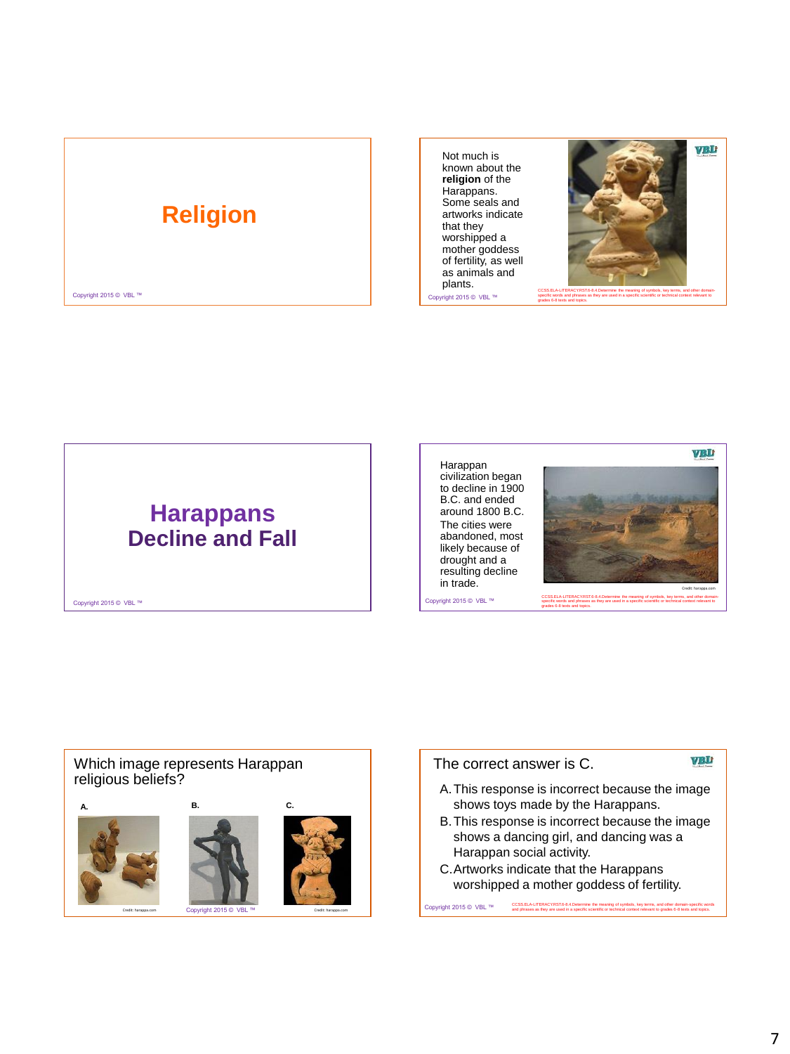











Copyright 2015 © VBL ™

CCSS.ELA-LITERACY.RST.6-8.4.Determine the meaning of symbols, key terms, and other domainspecific words and phrases as they are used in a specific scientific or technical context relevant to grades 6-8 texts and topics. Credit: harappa.com